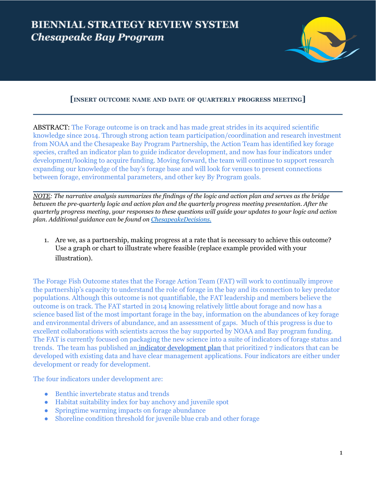

# **[INSERT OUTCOME NAME AND DATE OF QUARTERLY PROGRESS MEETING]**

ABSTRACT: The Forage outcome is on track and has made great strides in its acquired scientific knowledge since 2014. Through strong action team participation/coordination and research investment from NOAA and the Chesapeake Bay Program Partnership, the Action Team has identified key forage species, crafted an indicator plan to guide indicator development, and now has four indicators under development/looking to acquire funding. Moving forward, the team will continue to support research expanding our knowledge of the bay's forage base and will look for venues to present connections between forage, environmental parameters, and other key By Program goals.

NOTE: The narrative analysis summarizes the findings of the logic and action plan and serves as the bridge *between the pre-quarterly logic and action plan and the quarterly progress meeting presentation. After the* quarterly progress meeting, your responses to these questions will guide your updates to your logic and action *plan. Additional guidance can be found on [ChesapeakeDecisions.](http://www.chesapeakebay.net/decisions/srs-guide)*

1. Are we, as a partnership, making progress at a rate that is necessary to achieve this outcome? Use a graph or chart to illustrate where feasible (replace example provided with your illustration).

The Forage Fish Outcome states that the Forage Action Team (FAT) will work to continually improve the partnership's capacity to understand the role of forage in the bay and its connection to key predator populations. Although this outcome is not quantifiable, the FAT leadership and members believe the outcome is on track. The FAT started in 2014 knowing relatively little about forage and now has a science based list of the most important forage in the bay, information on the abundances of key forage and environmental drivers of abundance, and an assessment of gaps. Much of this progress is due to excellent collaborations with scientists across the bay supported by NOAA and Bay program funding. The FAT is currently focused on packaging the new science into a suite of indicators of forage status and trends. The team has published an indicator [development](https://www.chesapeakebay.net/what/publications/2020_forage_indicator_development_plan) plan that prioritized 7 indicators that can be developed with existing data and have clear management applications. Four indicators are either under development or ready for development.

The four indicators under development are:

- Benthic invertebrate status and trends
- Habitat suitability index for bay anchovy and juvenile spot
- Springtime warming impacts on forage abundance
- Shoreline condition threshold for juvenile blue crab and other forage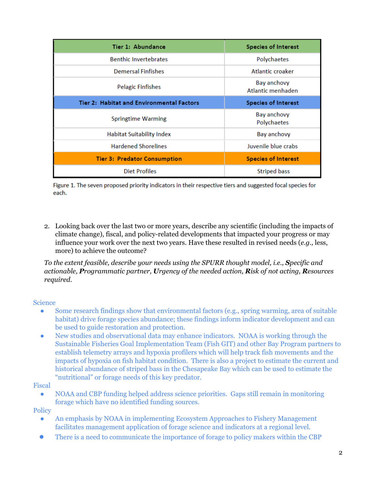| Tier 1: Abundance                         | <b>Species of Interest</b>        |
|-------------------------------------------|-----------------------------------|
| <b>Benthic Invertebrates</b>              | Polychaetes                       |
| <b>Demersal Finfishes</b>                 | Atlantic croaker                  |
| <b>Pelagic Finfishes</b>                  | Bay anchovy<br>Atlantic menhaden  |
| Tier 2: Habitat and Environmental Factors | <b>Species of Interest</b>        |
| <b>Springtime Warming</b>                 | <b>Bay anchovy</b><br>Polychaetes |
| <b>Habitat Suitability Index</b>          | Bay anchovy                       |
| <b>Hardened Shorelines</b>                | Juvenile blue crabs               |
| <b>Tier 3: Predator Consumption</b>       | <b>Species of Interest</b>        |
| <b>Diet Profiles</b>                      | <b>Striped bass</b>               |

Figure 1. The seven proposed priority indicators in their respective tiers and suggested focal species for each.

2. Looking back over the last two or more years, describe any scientific (including the impacts of climate change), fiscal, and policy-related developments that impacted your progress or may influence your work over the next two years. Have these resulted in revised needs (*e.g.,* less, more) to achieve the outcome?

*To the extent feasible, describe your needs using the SPURR thought model, i.e., Specific and actionable, Programmatic partner, Urgency of the needed action, Risk of not acting, Resources required.*

## Science

- Some research findings show that environmental factors (e.g., spring warming, area of suitable habitat) drive forage species abundance; these findings inform indicator development and can be used to guide restoration and protection.
- New studies and observational data may enhance indicators. NOAA is working through the Sustainable Fisheries Goal Implementation Team (Fish GIT) and other Bay Program partners to establish telemetry arrays and hypoxia profilers which will help track fish movements and the impacts of hypoxia on fish habitat condition. There is also a project to estimate the current and historical abundance of striped bass in the Chesapeake Bay which can be used to estimate the "nutritional" or forage needs of this key predator.

#### Fiscal

● NOAA and CBP funding helped address science priorities. Gaps still remain in monitoring forage which have no identified funding sources.

## **Policy**

- An emphasis by NOAA in implementing Ecosystem Approaches to Fishery Management facilitates management application of forage science and indicators at a regional level.
- There is a need to communicate the importance of forage to policy makers within the CBP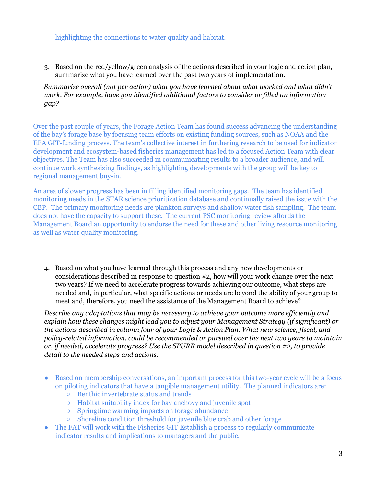## highlighting the connections to water quality and habitat.

3. Based on the red/yellow/green analysis of the actions described in your logic and action plan, summarize what you have learned over the past two years of implementation.

*Summarize overall (not per action) what you have learned about what worked and what didn't work. For example, have you identified additional factors to consider or filled an information gap?*

Over the past couple of years, the Forage Action Team has found success advancing the understanding of the bay's forage base by focusing team efforts on existing funding sources, such as NOAA and the EPA GIT-funding process. The team's collective interest in furthering research to be used for indicator development and ecosystem-based fisheries management has led to a focused Action Team with clear objectives. The Team has also succeeded in communicating results to a broader audience, and will continue work synthesizing findings, as highlighting developments with the group will be key to regional management buy-in.

An area of slower progress has been in filling identified monitoring gaps. The team has identified monitoring needs in the STAR science prioritization database and continually raised the issue with the CBP. The primary monitoring needs are plankton surveys and shallow water fish sampling. The team does not have the capacity to support these. The current PSC monitoring review affords the Management Board an opportunity to endorse the need for these and other living resource monitoring as well as water quality monitoring.

4. Based on what you have learned through this process and any new developments or considerations described in response to question #2, how will your work change over the next two years? If we need to accelerate progress towards achieving our outcome, what steps are needed and, in particular, what specific actions or needs are beyond the ability of your group to meet and, therefore, you need the assistance of the Management Board to achieve?

*Describe any adaptations that may be necessary to achieve your outcome more ef iciently and explain how these changes might lead you to adjust your Management Strategy (if significant) or the actions described in column four of your Logic & Action Plan. What new science, fiscal, and policy-related information, could be recommended or pursued over the next two years to maintain or, if needed, accelerate progress? Use the SPURR model described in question #2, to provide detail to the needed steps and actions.*

- Based on membership conversations, an important process for this two-year cycle will be a focus on piloting indicators that have a tangible management utility. The planned indicators are:
	- Benthic invertebrate status and trends
	- Habitat suitability index for bay anchovy and juvenile spot
	- Springtime warming impacts on forage abundance
	- Shoreline condition threshold for juvenile blue crab and other forage
- The FAT will work with the Fisheries GIT Establish a process to regularly communicate indicator results and implications to managers and the public.